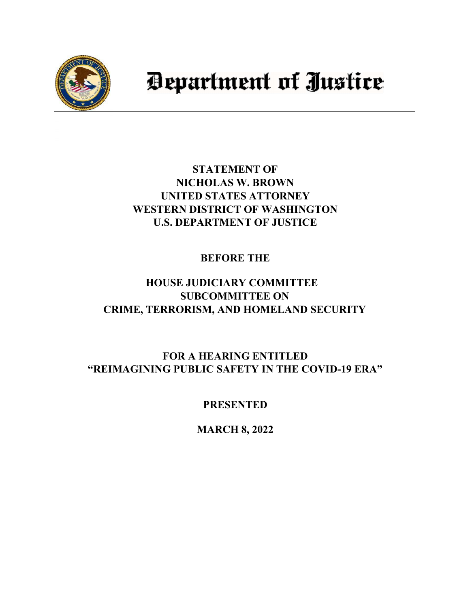

# Department of Justice

## STATEMENT OF NICHOLAS W. BROWN UNITED STATES ATTORNEY WESTERN DISTRICT OF WASHINGTON U.S. DEPARTMENT OF JUSTICE

BEFORE THE

# HOUSE JUDICIARY COMMITTEE SUBCOMMITTEE ON CRIME, TERRORISM, AND HOMELAND SECURITY

## FOR A HEARING ENTITLED "REIMAGINING PUBLIC SAFETY IN THE COVID-19 ERA"

PRESENTED

MARCH 8, 2022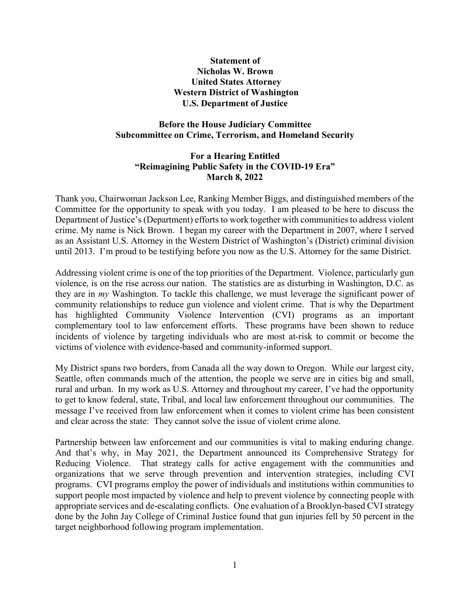#### Statement of Nicholas W. Brown United States Attorney Western District of Washington U.S. Department of Justice

#### Before the House Judiciary Committee Subcommittee on Crime, Terrorism, and Homeland Security

#### For a Hearing Entitled "Reimagining Public Safety in the COVID-19 Era" March 8, 2022

Thank you, Chairwoman Jackson Lee, Ranking Member Biggs, and distinguished members of the Committee for the opportunity to speak with you today. I am pleased to be here to discuss the Department of Justice's (Department) efforts to work together with communities to address violent crime. My name is Nick Brown. I began my career with the Department in 2007, where I served as an Assistant U.S. Attorney in the Western District of Washington's (District) criminal division until 2013. I'm proud to be testifying before you now as the U.S. Attorney for the same District.

Addressing violent crime is one of the top priorities of the Department. Violence, particularly gun violence, is on the rise across our nation. The statistics are as disturbing in Washington, D.C. as they are in my Washington. To tackle this challenge, we must leverage the significant power of community relationships to reduce gun violence and violent crime. That is why the Department has highlighted Community Violence Intervention (CVI) programs as an important complementary tool to law enforcement efforts. These programs have been shown to reduce incidents of violence by targeting individuals who are most at-risk to commit or become the victims of violence with evidence-based and community-informed support.

My District spans two borders, from Canada all the way down to Oregon. While our largest city, Seattle, often commands much of the attention, the people we serve are in cities big and small, rural and urban. In my work as U.S. Attorney and throughout my career, I've had the opportunity to get to know federal, state, Tribal, and local law enforcement throughout our communities. The message I've received from law enforcement when it comes to violent crime has been consistent and clear across the state: They cannot solve the issue of violent crime alone.

Partnership between law enforcement and our communities is vital to making enduring change. And that's why, in May 2021, the Department announced its Comprehensive Strategy for Reducing Violence. That strategy calls for active engagement with the communities and organizations that we serve through prevention and intervention strategies, including CVI programs. CVI programs employ the power of individuals and institutions within communities to support people most impacted by violence and help to prevent violence by connecting people with appropriate services and de-escalating conflicts. One evaluation of a Brooklyn-based CVI strategy done by the John Jay College of Criminal Justice found that gun injuries fell by 50 percent in the target neighborhood following program implementation.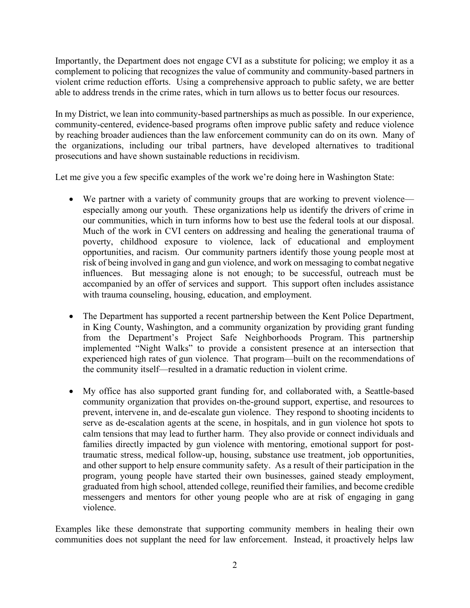Importantly, the Department does not engage CVI as a substitute for policing; we employ it as a complement to policing that recognizes the value of community and community-based partners in violent crime reduction efforts. Using a comprehensive approach to public safety, we are better able to address trends in the crime rates, which in turn allows us to better focus our resources.

In my District, we lean into community-based partnerships as much as possible. In our experience, community-centered, evidence-based programs often improve public safety and reduce violence by reaching broader audiences than the law enforcement community can do on its own. Many of the organizations, including our tribal partners, have developed alternatives to traditional prosecutions and have shown sustainable reductions in recidivism.

Let me give you a few specific examples of the work we're doing here in Washington State:

- We partner with a variety of community groups that are working to prevent violence especially among our youth. These organizations help us identify the drivers of crime in our communities, which in turn informs how to best use the federal tools at our disposal. Much of the work in CVI centers on addressing and healing the generational trauma of poverty, childhood exposure to violence, lack of educational and employment opportunities, and racism. Our community partners identify those young people most at risk of being involved in gang and gun violence, and work on messaging to combat negative influences. But messaging alone is not enough; to be successful, outreach must be accompanied by an offer of services and support. This support often includes assistance with trauma counseling, housing, education, and employment.
- The Department has supported a recent partnership between the Kent Police Department, in King County, Washington, and a community organization by providing grant funding from the Department's Project Safe Neighborhoods Program. This partnership implemented "Night Walks" to provide a consistent presence at an intersection that experienced high rates of gun violence. That program—built on the recommendations of the community itself—resulted in a dramatic reduction in violent crime.
- My office has also supported grant funding for, and collaborated with, a Seattle-based community organization that provides on-the-ground support, expertise, and resources to prevent, intervene in, and de-escalate gun violence. They respond to shooting incidents to serve as de-escalation agents at the scene, in hospitals, and in gun violence hot spots to calm tensions that may lead to further harm. They also provide or connect individuals and families directly impacted by gun violence with mentoring, emotional support for posttraumatic stress, medical follow-up, housing, substance use treatment, job opportunities, and other support to help ensure community safety. As a result of their participation in the program, young people have started their own businesses, gained steady employment, graduated from high school, attended college, reunified their families, and become credible messengers and mentors for other young people who are at risk of engaging in gang violence.

Examples like these demonstrate that supporting community members in healing their own communities does not supplant the need for law enforcement. Instead, it proactively helps law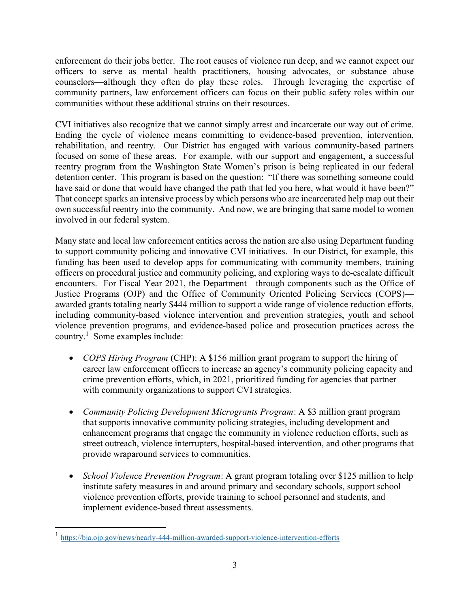enforcement do their jobs better. The root causes of violence run deep, and we cannot expect our officers to serve as mental health practitioners, housing advocates, or substance abuse counselors—although they often do play these roles. Through leveraging the expertise of community partners, law enforcement officers can focus on their public safety roles within our communities without these additional strains on their resources.

CVI initiatives also recognize that we cannot simply arrest and incarcerate our way out of crime. Ending the cycle of violence means committing to evidence-based prevention, intervention, rehabilitation, and reentry. Our District has engaged with various community-based partners focused on some of these areas. For example, with our support and engagement, a successful reentry program from the Washington State Women's prison is being replicated in our federal detention center. This program is based on the question: "If there was something someone could have said or done that would have changed the path that led you here, what would it have been?" That concept sparks an intensive process by which persons who are incarcerated help map out their own successful reentry into the community. And now, we are bringing that same model to women involved in our federal system.

Many state and local law enforcement entities across the nation are also using Department funding to support community policing and innovative CVI initiatives. In our District, for example, this funding has been used to develop apps for communicating with community members, training officers on procedural justice and community policing, and exploring ways to de-escalate difficult encounters. For Fiscal Year 2021, the Department—through components such as the Office of Justice Programs (OJP) and the Office of Community Oriented Policing Services (COPS) awarded grants totaling nearly \$444 million to support a wide range of violence reduction efforts, including community-based violence intervention and prevention strategies, youth and school violence prevention programs, and evidence-based police and prosecution practices across the country.<sup>1</sup> Some examples include:

- COPS Hiring Program (CHP): A \$156 million grant program to support the hiring of career law enforcement officers to increase an agency's community policing capacity and crime prevention efforts, which, in 2021, prioritized funding for agencies that partner with community organizations to support CVI strategies.
- Community Policing Development Microgrants Program: A \$3 million grant program that supports innovative community policing strategies, including development and enhancement programs that engage the community in violence reduction efforts, such as street outreach, violence interrupters, hospital-based intervention, and other programs that provide wraparound services to communities.
- School Violence Prevention Program: A grant program totaling over \$125 million to help institute safety measures in and around primary and secondary schools, support school violence prevention efforts, provide training to school personnel and students, and implement evidence-based threat assessments.

<sup>&</sup>lt;sup>1</sup> https://bia.oip.gov/news/nearly-444-million-awarded-support-violence-intervention-efforts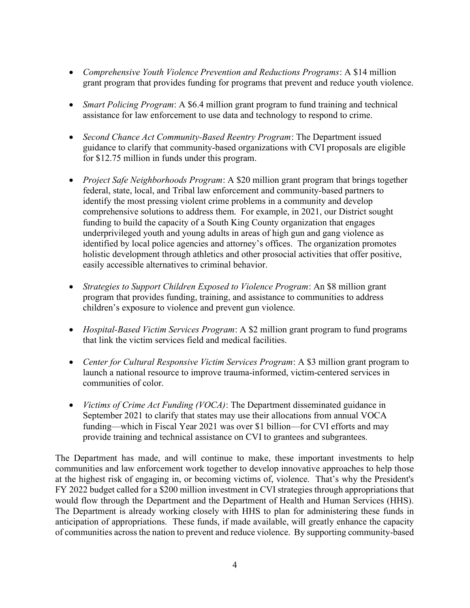- Comprehensive Youth Violence Prevention and Reductions Programs: A \$14 million grant program that provides funding for programs that prevent and reduce youth violence.
- Smart Policing Program: A \$6.4 million grant program to fund training and technical assistance for law enforcement to use data and technology to respond to crime.
- Second Chance Act Community-Based Reentry Program: The Department issued guidance to clarify that community-based organizations with CVI proposals are eligible for \$12.75 million in funds under this program.
- Project Safe Neighborhoods Program: A \$20 million grant program that brings together federal, state, local, and Tribal law enforcement and community-based partners to identify the most pressing violent crime problems in a community and develop comprehensive solutions to address them. For example, in 2021, our District sought funding to build the capacity of a South King County organization that engages underprivileged youth and young adults in areas of high gun and gang violence as identified by local police agencies and attorney's offices. The organization promotes holistic development through athletics and other prosocial activities that offer positive, easily accessible alternatives to criminal behavior.
- Strategies to Support Children Exposed to Violence Program: An \$8 million grant program that provides funding, training, and assistance to communities to address children's exposure to violence and prevent gun violence.
- Hospital-Based Victim Services Program: A \$2 million grant program to fund programs that link the victim services field and medical facilities.
- Center for Cultural Responsive Victim Services Program: A \$3 million grant program to launch a national resource to improve trauma-informed, victim-centered services in communities of color.
- Victims of Crime Act Funding  $(VOCA)$ : The Department disseminated guidance in September 2021 to clarify that states may use their allocations from annual VOCA funding—which in Fiscal Year 2021 was over \$1 billion—for CVI efforts and may provide training and technical assistance on CVI to grantees and subgrantees.

The Department has made, and will continue to make, these important investments to help communities and law enforcement work together to develop innovative approaches to help those at the highest risk of engaging in, or becoming victims of, violence. That's why the President's FY 2022 budget called for a \$200 million investment in CVI strategies through appropriations that would flow through the Department and the Department of Health and Human Services (HHS). The Department is already working closely with HHS to plan for administering these funds in anticipation of appropriations. These funds, if made available, will greatly enhance the capacity of communities across the nation to prevent and reduce violence. By supporting community-based